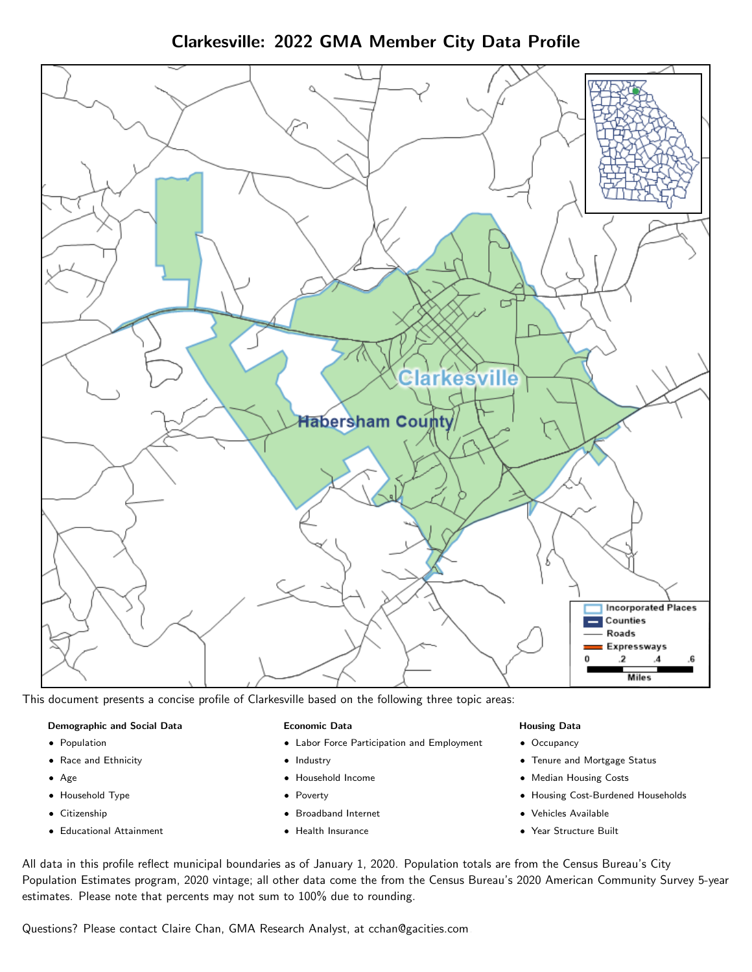Clarkesville: 2022 GMA Member City Data Profile



This document presents a concise profile of Clarkesville based on the following three topic areas:

#### Demographic and Social Data

- **•** Population
- Race and Ethnicity
- Age
- Household Type
- **Citizenship**
- Educational Attainment

#### Economic Data

- Labor Force Participation and Employment
- Industry
- Household Income
- Poverty
- Broadband Internet
- Health Insurance

#### Housing Data

- Occupancy
- Tenure and Mortgage Status
- Median Housing Costs
- Housing Cost-Burdened Households
- Vehicles Available
- Year Structure Built

All data in this profile reflect municipal boundaries as of January 1, 2020. Population totals are from the Census Bureau's City Population Estimates program, 2020 vintage; all other data come the from the Census Bureau's 2020 American Community Survey 5-year estimates. Please note that percents may not sum to 100% due to rounding.

Questions? Please contact Claire Chan, GMA Research Analyst, at [cchan@gacities.com.](mailto:cchan@gacities.com)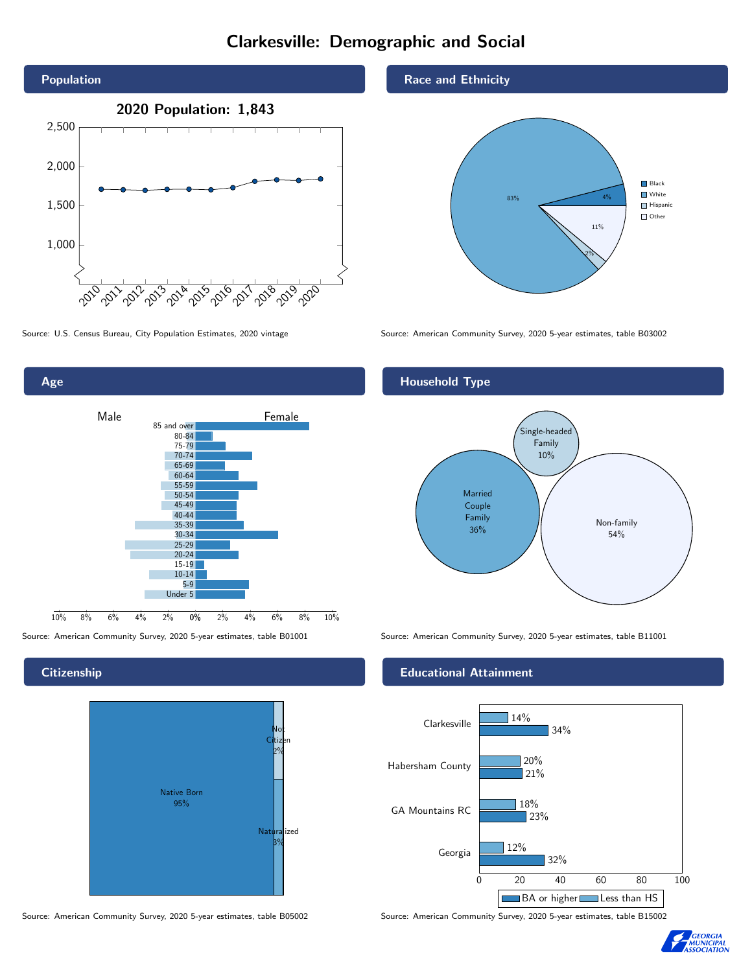## Clarkesville: Demographic and Social





**Citizenship** 

Age



Source: American Community Survey, 2020 5-year estimates, table B05002 Source: American Community Survey, 2020 5-year estimates, table B15002

Race and Ethnicity



Source: U.S. Census Bureau, City Population Estimates, 2020 vintage Source: American Community Survey, 2020 5-year estimates, table B03002

### Household Type



Source: American Community Survey, 2020 5-year estimates, table B01001 Source: American Community Survey, 2020 5-year estimates, table B11001

#### Educational Attainment



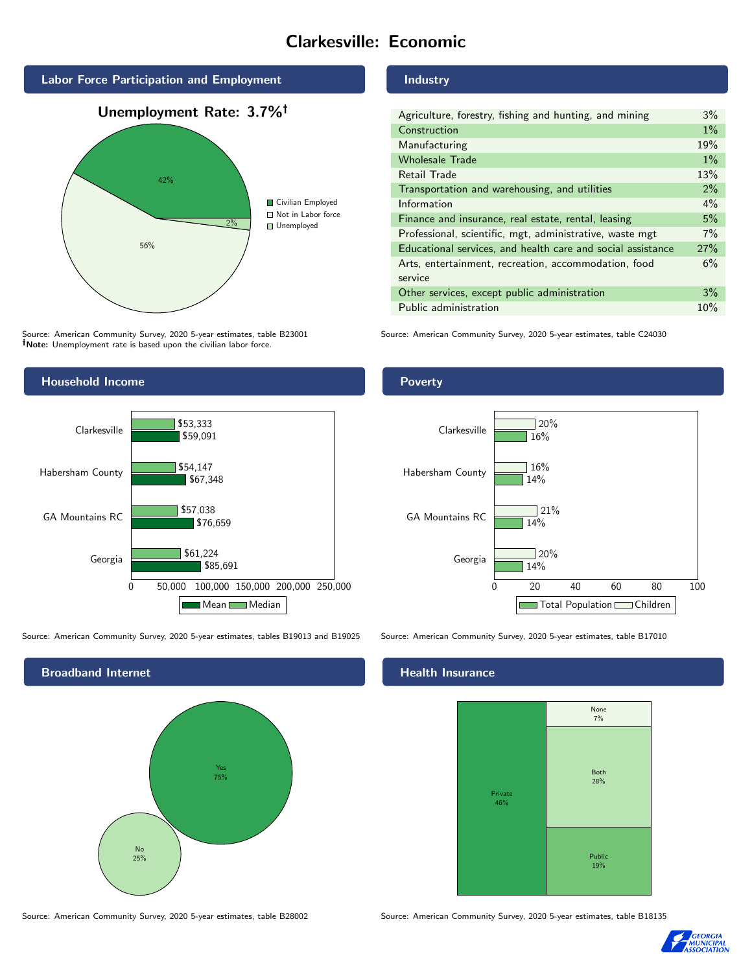## Clarkesville: Economic



Source: American Community Survey, 2020 5-year estimates, table B23001 Note: Unemployment rate is based upon the civilian labor force.

#### Industry

| Agriculture, forestry, fishing and hunting, and mining      | $3\%$ |
|-------------------------------------------------------------|-------|
| Construction                                                | $1\%$ |
| Manufacturing                                               | 19%   |
| <b>Wholesale Trade</b>                                      | $1\%$ |
| Retail Trade                                                | 13%   |
| Transportation and warehousing, and utilities               | $2\%$ |
| Information                                                 | $4\%$ |
| Finance and insurance, real estate, rental, leasing         | 5%    |
| Professional, scientific, mgt, administrative, waste mgt    | 7%    |
| Educational services, and health care and social assistance | 27%   |
| Arts, entertainment, recreation, accommodation, food        | 6%    |
| service                                                     |       |
| Other services, except public administration                | 3%    |
| Public administration                                       | 10%   |

Source: American Community Survey, 2020 5-year estimates, table C24030



Source: American Community Survey, 2020 5-year estimates, tables B19013 and B19025 Source: American Community Survey, 2020 5-year estimates, table B17010



#### Poverty



#### Health Insurance



Source: American Community Survey, 2020 5-year estimates, table B28002 Source: American Community Survey, 2020 5-year estimates, table B18135